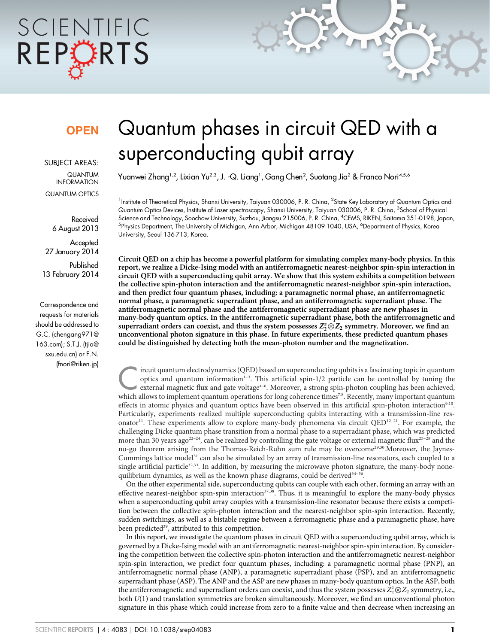# SCIENTIFIC REPORTS

### **OPEN**

SUBJECT AREAS:

QUANTUM INFORMATION QUANTUM OPTICS

Received 6 August 2013

**Accepted** 27 January 2014

Published 13 February 2014

Correspondence and requests for materials should be addressed to G.C. (chengang971@ 163.com); S.T.J. (tjia@ sxu.edu.cn) or F.N. (fnori@riken.jp)

## Quantum phases in circuit QED with a superconducting qubit array

Yuanwei Zhang<sup>1,2</sup>, Lixian Yu<sup>2,3</sup>, J. -Q. Liang<sup>1</sup>, Gang Chen<sup>2</sup>, Suotang Jia<sup>2</sup> & Franco Nori<sup>4,5,6</sup>

 $^1$ Institute of Theoretical Physics, Shanxi University, Taiyuan 030006, P. R. China,  $^2$ State Key Laboratory of Quantum Optics and Quantum Optics Devices, Institute of Laser spectroscopy, Shanxi University, Taiyuan 030006, P. R. China, <sup>3</sup>School of Physical Science and Technology, Soochow University, Suzhou, Jiangsu 215006, P. R. China, <sup>4</sup> CEMS, RIKEN, Saitama 351-0198, Japan, <sup>5</sup>Physics Department, The University of Michigan, Ann Arbor, Michigan 48109-1040, USA, <sup>6</sup>Department of Physics, Korea University, Seoul 136-713, Korea.

Circuit QED on a chip has become a powerful platform for simulating complex many-body physics. In this report, we realize a Dicke-Ising model with an antiferromagnetic nearest-neighbor spin-spin interaction in circuit QED with a superconducting qubit array. We show that this system exhibits a competition between the collective spin-photon interaction and the antiferromagnetic nearest-neighbor spin-spin interaction, and then predict four quantum phases, including: a paramagnetic normal phase, an antiferromagnetic normal phase, a paramagnetic superradiant phase, and an antiferromagnetic superradiant phase. The antiferromagnetic normal phase and the antiferromagnetic superradiant phase are new phases in many-body quantum optics. In the antiferromagnetic superradiant phase, both the antiferromagnetic and superradiant orders can coexist, and thus the system possesses  $Z_2^z\otimes Z_2$  symmetry. Moreover, we find an unconventional photon signature in this phase. In future experiments, these predicted quantum phases could be distinguished by detecting both the mean-photon number and the magnetization.

ircuit quantum electrodynamics (QED) based on superconducting qubits is a fascinating topic in quantum<br>
optics and quantum information<sup>1-3</sup>. This artificial spin-1/2 particle can be controlled by tuning the<br>
external magne optics and quantum information $1-3$ . This artificial spin-1/2 particle can be controlled by tuning the which allows to implement quantum operations for long coherence times<sup>7,8</sup>. Recently, many important quantum effects in atomic physics and quantum optics have been observed in this artificial spin-photon interaction<sup>9,10</sup>. Particularly, experiments realized multiple superconducting qubits interacting with a transmission-line resonator<sup>11</sup>. These experiments allow to explore many-body phenomena via circuit  $QED^{12-21}$ . For example, the challenging Dicke quantum phase transition from a normal phase to a superradiant phase, which was predicted more than 30 years ago<sup>22-24</sup>, can be realized by controlling the gate voltage or external magnetic flux<sup>25-28</sup> and the no-go theorem arising from the Thomas-Reich-Ruhn sum rule may be overcome<sup>29,30</sup>.Moreover, the Jaynes-Cummings lattice model<sup>31</sup> can also be simulated by an array of transmission-line resonators, each coupled to a single artificial particle<sup>32,33</sup>. In addition, by measuring the microwave photon signature, the many-body nonequilibrium dynamics, as well as the known phase diagrams, could be derived<sup>34-36</sup>.

On the other experimental side, superconducting qubits can couple with each other, forming an array with an effective nearest-neighbor spin-spin interaction<sup>37,38</sup>. Thus, it is meaningful to explore the many-body physics when a superconducting qubit array couples with a transmission-line resonator because there exists a competition between the collective spin-photon interaction and the nearest-neighbor spin-spin interaction. Recently, sudden switchings, as well as a bistable regime between a ferromagnetic phase and a paramagnetic phase, have been predicted<sup>39</sup>, attributed to this competition.

In this report, we investigate the quantum phases in circuit QED with a superconducting qubit array, which is governed by a Dicke-Ising model with an antiferromagnetic nearest-neighbor spin-spin interaction. By considering the competition between the collective spin-photon interaction and the antiferromagnetic nearest-neighbor spin-spin interaction, we predict four quantum phases, including: a paramagnetic normal phase (PNP), an antiferromagnetic normal phase (ANP), a paramagnetic superradiant phase (PSP), and an antiferromagnetic superradiant phase (ASP). The ANP and the ASP are new phases in many-body quantum optics. In the ASP, both the antiferromagnetic and superradiant orders can coexist, and thus the system possesses  $\tilde{Z}_2^z \otimes Z_2$  symmetry, i.e., both U(1) and translation symmetries are broken simultaneously. Moreover, we find an unconventional photon signature in this phase which could increase from zero to a finite value and then decrease when increasing an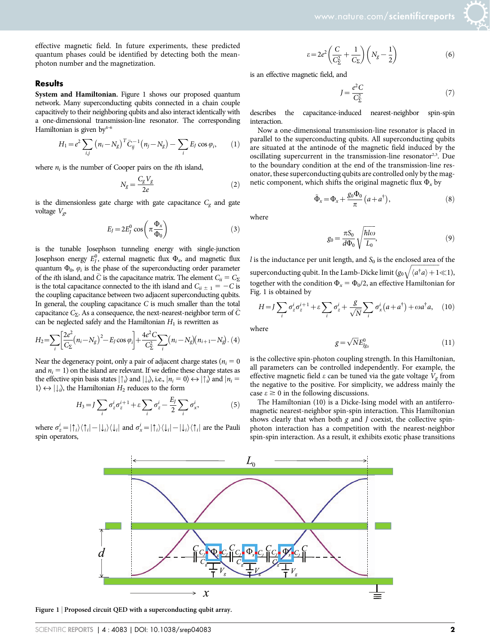effective magnetic field. In future experiments, these predicted quantum phases could be identified by detecting both the meanphoton number and the magnetization.

#### **Results**

System and Hamiltonian. Figure 1 shows our proposed quantum network. Many superconducting qubits connected in a chain couple capacitively to their neighboring qubits and also interact identically with a one-dimensional transmission-line resonator. The corresponding Hamiltonian is given by<sup>4-6</sup>

$$
H_1 = e^2 \sum_{i,j} (n_i - N_g)^T \bar{C}_{ij}^{-1} (n_j - N_g) - \sum_i E_j \cos \varphi_i, \qquad (1)
$$

where  $n_i$  is the number of Cooper pairs on the *i*th island,

$$
N_g = \frac{C_g V_g}{2e} \tag{2}
$$

is the dimensionless gate charge with gate capacitance  $C_{\rm g}$  and gate voltage  $V_{\varphi}$ 

$$
E_J = 2E_J^0 \cos\left(\pi \frac{\Phi_x}{\Phi_0}\right) \tag{3}
$$

is the tunable Josephson tunneling energy with single-junction Josephson energy  $E^0_j$ , external magnetic flux  $\Phi_\infty$  and magnetic flux quantum  $\Phi_0$ ,  $\varphi_i$  is the phase of the superconducting order parameter of the *i*th island, and  $\overline{C}$  is the capacitance matrix. The element  $C_{ii} = C_{\Sigma}$ is the total capacitance connected to the ith island and  $C_{ii \pm 1} = -C$  is the coupling capacitance between two adjacent superconducting qubits. In general, the coupling capacitance  $C$  is much smaller than the total capacitance  $C_{\Sigma}$ . As a consequence, the next-nearest-neighbor term of  $\overline{C}$ can be neglected safely and the Hamiltonian  $H_1$  is rewritten as

$$
H_2 = \sum_{i} \left[ \frac{2e^2}{C_{\Sigma}} (n_i - N_g)^2 - E_J \cos \varphi_i \right] + \frac{4e^2 C}{C_{\Sigma}^2} \sum_{i} (n_i - N_g)(n_{i+1} - N_g). (4)
$$

Near the degeneracy point, only a pair of adjacent charge states ( $n_i = 0$ ) and  $n_i = 1$ ) on the island are relevant. If we define these charge states as the effective spin basis states  $|\uparrow\rangle$  and  $|\downarrow\rangle$ , i.e.,  $|n_i = 0\rangle \leftrightarrow |\uparrow\rangle$  and  $|n_i =$  $1\rangle \leftrightarrow | \downarrow_i\rangle$ , the Hamiltonian  $H_2$  reduces to the form

$$
H_3 = J \sum_i \sigma_z^i \sigma_z^{i+1} + \varepsilon \sum_i \sigma_z^i - \frac{E_J}{2} \sum_i \sigma_x^i, \tag{5}
$$

where  $\sigma_z^i = |\uparrow_i\rangle\langle\uparrow_i| - |\downarrow_i\rangle\langle\downarrow_i|$  and  $\sigma_x^i = |\uparrow_i\rangle\langle\downarrow_i| - |\downarrow_i\rangle\langle\uparrow_i|$  are the Pauli spin operators,

$$
\varepsilon = 2e^2 \left( \frac{C}{C_{\Sigma}^2} + \frac{1}{C_{\Sigma}} \right) \left( N_g - \frac{1}{2} \right) \tag{6}
$$

is an effective magnetic field, and

$$
J = \frac{e^2 C}{C_{\Sigma}^2} \tag{7}
$$

describes the capacitance-induced nearest-neighbor spin-spin interaction.

Now a one-dimensional transmission-line resonator is placed in parallel to the superconducting qubits. All superconducting qubits are situated at the antinode of the magnetic field induced by the oscillating supercurrent in the transmission-line resonator<sup>2,3</sup>. Due to the boundary condition at the end of the transmission-line resonator, these superconducting qubits are controlled only by the magnetic component, which shifts the original magnetic flux  $\Phi_x$  by

$$
\tilde{\Phi}_x = \Phi_x + \frac{g_0 \Phi_0}{\pi} \left( a + a^\dagger \right),\tag{8}
$$

where

$$
g_0 = \frac{\pi S_0}{d\Phi_0} \sqrt{\frac{\hbar l \omega}{L_0}},\tag{9}
$$

*l* is the inductance per unit length, and  $S_0$  is the enclosed area of the superconducting qubit. In the Lamb-Dicke limit  $(g_0 \sqrt{\langle a^{\dagger} a \rangle} + 1 \ll 1)$ , together with the condition  $\Phi_x = \Phi_0/2$ , an effective Hamiltonian for Fig. 1 is obtained by

$$
H = J \sum_{i} \sigma_z^{i} \sigma_z^{i+1} + \varepsilon \sum_{i} \sigma_z^{i} + \frac{g}{\sqrt{N}} \sum_{i} \sigma_x^{i} (a + a^{\dagger}) + \omega a^{\dagger} a, \quad (10)
$$

where

$$
g = \sqrt{N}E_{Jg_0}^0\tag{11}
$$

is the collective spin-photon coupling strength. In this Hamiltonian, all parameters can be controlled independently. For example, the effective magnetic field  $\varepsilon$  can be tuned via the gate voltage  $V_g$  from the negative to the positive. For simplicity, we address mainly the case  $\epsilon \geq 0$  in the following discussions.

The Hamiltonian (10) is a Dicke-Ising model with an antiferromagnetic nearest-neighbor spin-spin interaction. This Hamiltonian shows clearly that when both  $g$  and  $J$  coexist, the collective spinphoton interaction has a competition with the nearest-neighbor spin-spin interaction. As a result, it exhibits exotic phase transitions



Figure 1 | Proposed circuit QED with a superconducting qubit array.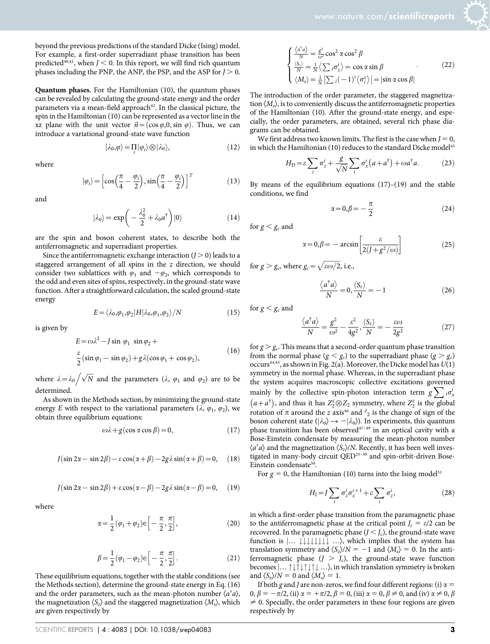beyond the previous predictions of the standard Dicke (Ising) model. For example, a first-order superradiant phase transition has been predicted<sup>40,41</sup>, when  $J < 0$ . In this report, we will find rich quantum phases including the PNP, the ANP, the PSP, and the ASP for  $J > 0$ .

Quantum phases. For the Hamiltonian (10), the quantum phases can be revealed by calculating the ground-state energy and the order parameters via a mean-field approach<sup>42</sup>. In the classical picture, the spin in the Hamiltonian (10) can be represented as a vector line in the xz plane with the unit vector  $\vec{n} = (\cos \varphi, 0, \sin \varphi)$ . Thus, we can introduce a variational ground-state wave function

$$
|\lambda_0, \varphi\rangle = \prod_i |\varphi_i\rangle \otimes |\lambda_0\rangle,\tag{12}
$$

where

$$
|\varphi_i\rangle = \left[\cos\left(\frac{\pi}{4} - \frac{\varphi_i}{2}\right), \sin\left(\frac{\pi}{4} - \frac{\varphi_i}{2}\right)\right]^T
$$
 (13)

and

$$
|\lambda_0\rangle = \exp\bigg(-\frac{\lambda_0^2}{2} + \lambda_0 a^\dagger\bigg)|0\rangle\tag{14}
$$

are the spin and boson coherent states, to describe both the antiferromagnetic and superradiant properties.

Since the antiferromagnetic exchange interaction  $(I > 0)$  leads to a staggered arrangement of all spins in the z direction, we should consider two sublattices with  $\varphi_1$  and  $-\varphi_2$ , which corresponds to the odd and even sites of spins, respectively, in the ground-state wave function. After a straightforward calculation, the scaled ground-state energy

$$
E = \langle \lambda_0, \varphi_1, \varphi_2 | H | \lambda_0, \varphi_1, \varphi_2 \rangle / N \tag{15}
$$

is given by

$$
E = \omega \lambda^2 - J \sin \varphi_1 \sin \varphi_2 +
$$
  
\n
$$
\frac{\varepsilon}{2} (\sin \varphi_1 - \sin \varphi_2) + g \lambda (\cos \varphi_1 + \cos \varphi_2),
$$
\n(16)

where  $\lambda = \lambda_0 / \sqrt{N}$  and the parameters ( $\lambda$ ,  $\varphi_1$  and  $\varphi_2$ ) are to be determined

As shown in the Methods section, by minimizing the ground-state energy E with respect to the variational parameters  $(\lambda, \varphi_1, \varphi_2)$ , we obtain three equilibrium equations:

$$
\omega \lambda + g(\cos \alpha \cos \beta) = 0, \qquad (17)
$$

$$
J(\sin 2\alpha - \sin 2\beta) - \varepsilon \cos(\alpha + \beta) - 2g\lambda \sin(\alpha + \beta) = 0, \quad (18)
$$

$$
J(\sin 2\alpha - \sin 2\beta) + \varepsilon \cos(\alpha - \beta) - 2g\lambda \sin(\alpha - \beta) = 0, \quad (19)
$$

where

$$
\alpha = \frac{1}{2} (\varphi_1 + \varphi_2) \in \left[ -\frac{\pi}{2}, \frac{\pi}{2} \right],\tag{20}
$$

$$
\beta = \frac{1}{2}(\varphi_1 - \varphi_2) \in \left[ -\frac{\pi}{2}, \frac{\pi}{2} \right].
$$
\n(21)

These equilibrium equations, together with the stable conditions (see the Methods section), determine the ground-state energy in Eq. (16) and the order parameters, such as the mean-photon number  $\langle a^{\dagger} a \rangle$ , the magnetization  $\langle S_z \rangle$  and the staggered magnetization  $\langle M_s \rangle$ , which are given respectively by

$$
\begin{cases}\n\frac{\langle a^{\dagger}a \rangle}{N} = \frac{g^2}{\omega^2} \cos^2 \alpha \cos^2 \beta \\
\frac{\langle S_z \rangle}{N} = \frac{1}{N} \langle \sum_{i} \sigma_z^{i} \rangle = \cos \alpha \sin \beta \\
\langle M_s \rangle = \frac{1}{N} |\sum_{i} (-1)^i \langle \sigma_i^{z} \rangle| = |\sin \alpha \cos \beta|\n\end{cases}
$$
\n(22)

The introduction of the order parameter, the staggered magnetization  $\langle M_s \rangle$ , is to conveniently discuss the antiferromagnetic properties of the Hamiltonian (10). After the ground-state energy, and especially, the order parameters, are obtained, several rich phase diagrams can be obtained.

We first address two known limits. The first is the case when  $J = 0$ , in which the Hamiltonian (10) reduces to the standard Dicke model<sup>43</sup>

$$
H_{\rm D} = \varepsilon \sum_{i} \sigma_z^i + \frac{g}{\sqrt{N}} \sum_{i} \sigma_x^i \left( a + a^\dagger \right) + \omega a^\dagger a. \tag{23}
$$

By means of the equilibrium equations  $(17)$ – $(19)$  and the stable conditions, we find

$$
\alpha = 0, \beta = -\frac{\pi}{2} \tag{24}
$$

for  $g < g_c$  and

$$
\alpha = 0, \beta = -\arcsin\left[\frac{\varepsilon}{2(J + g^2/\omega)}\right]
$$
 (25)

for  $g > g_c$ , where  $g_c = \sqrt{\varepsilon \omega/2}$ , i.e.,

$$
\frac{\langle a^{\dagger} a \rangle}{N} = 0, \frac{\langle S_z \rangle}{N} = -1
$$
\n(26)

for  $g < g_c$  and

$$
\frac{\langle a^{\dagger} a \rangle}{N} = \frac{g^2}{\omega^2} - \frac{\varepsilon^2}{4g^2}, \frac{\langle S_z \rangle}{N} = -\frac{\varepsilon \omega}{2g^2}
$$
 (27)

for  $g > g_c$ . This means that a second-order quantum phase transition from the normal phase ( $g < g_c$ ) to the superradiant phase ( $g > g_c$ ) occurs<sup>44,45</sup>, as shown in Fig. 2(a). Moreover, the Dicke model has  $U(1)$ symmetry in the normal phase. Whereas, in the superradiant phase the system acquires macroscopic collective excitations governed mainly by the collective spin-photon interaction term  $g\sum_{i} a_{x}^{i}$ <br>  $(a+a^{\dagger})$ , and thus it has  $Z_{2}^{z}\otimes Z_{2}$  symmetry, where  $Z_{2}^{z}$  is the global rotation of  $\pi$  around the  $z$  axis<sup>46</sup> and  $z_2$  is the change of sign of the boson coherent state ( $|\lambda_0\rangle \rightarrow -|\lambda_0\rangle$ ). In experiments, this quantum phase transition has been observed $47-49$  in an optical cavity with a Bose-Einstein condensate by measuring the mean-photon number  $\langle a^{\dagger} a \rangle$  and the magnetization  $\langle S_z \rangle/N$ . Recently, it has been well investigated in many-body circuit QED<sup>25-30</sup> and spin-orbit-driven Bose-Einstein condensate<sup>50</sup>.

For  $g = 0$ , the Hamiltonian (10) turns into the Ising model<sup>51</sup>

$$
H_{\rm I} = J \sum_{i} \sigma_z^i \sigma_z^{i+1} + \varepsilon \sum_{i} \sigma_z^i, \tag{28}
$$

in which a first-order phase transition from the paramagnetic phase to the antiferromagnetic phase at the critical point  $J_c = \varepsilon/2$  can be recovered. In the paramagnetic phase  $(J < J_c)$ , the ground-state wave function is  $\left| \dots \downarrow \downarrow \downarrow \downarrow \downarrow \downarrow \downarrow \dots \right\rangle$ , which implies that the system has translation symmetry and  $\langle S_z \rangle/N = -1$  and  $\langle M_s \rangle = 0$ . In the antiferromagnetic phase  $(J > J_c)$ , the ground-state wave function becomes  $|... \uparrow \downarrow \uparrow \downarrow \uparrow \downarrow \uparrow \downarrow ...$ , in which translation symmetry is broken and  $\langle S_z \rangle/N = 0$  and  $\langle M_s \rangle = 1$ .

If both g and J are non-zeros, we find four different regions: (i)  $\alpha$  =  $0, \beta = -\pi/2$ , (ii)  $\alpha = +\pi/2$ ,  $\beta = 0$ , (iii)  $\alpha = 0, \beta \neq 0$ , and (iv)  $\alpha \neq 0, \beta$  $\neq$  0. Specially, the order parameters in these four regions are given respectively by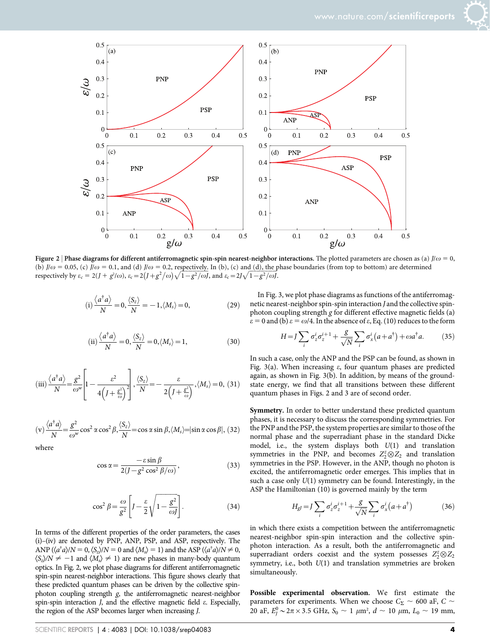



Figure 2 | Phase diagrams for different antiferromagnetic spin-spin nearest-neighbor interactions. The plotted parameters are chosen as (a)  $J/\omega = 0$ , (b)  $J/\omega = 0.05$ , (c)  $J/\omega = 0.1$ , and (d)  $J/\omega = 0.2$ , respectively. In (b), (c) and (d), the phase boundaries (from top to bottom) are determined respectively by  $\varepsilon_c = 2(J + g^2/\omega)$ ,  $\varepsilon_c = 2(\frac{J}{g^2/\omega} + \frac{g^2}{\omega} + \frac{g^2}{\omega} + \frac{g^2}{\omega} + \frac{g^2}{\omega} + \frac{g^2}{\omega} + \frac{g^2}{\omega}$ , and  $\varepsilon_c = 2J\sqrt{1 - g^2/\omega}$ .

$$
(i)\frac{\langle a^{\dagger}a \rangle}{N} = 0, \frac{\langle S_z \rangle}{N} = -1, \langle M_s \rangle = 0,
$$
 (29)

(ii) 
$$
\frac{\langle a^{\dagger} a \rangle}{N} = 0, \frac{\langle S_z \rangle}{N} = 0, \langle M_s \rangle = 1,
$$
 (30)

(iii) 
$$
\frac{\langle a^{\dagger} a \rangle}{N} = \frac{g^2}{\omega^w} \left[ 1 - \frac{\varepsilon^2}{4 \left( 1 + \frac{\varepsilon^2}{\omega} \right)^2} \right], \frac{\langle S_z \rangle}{N} = -\frac{\varepsilon}{2 \left( 1 + \frac{\varepsilon^2}{\omega} \right)}, \langle M_s \rangle = 0, (31)
$$

$$
\text{(v)} \frac{\langle a^\dagger a \rangle}{N} = \frac{g^2}{\omega^w} \cos^2 \alpha \cos^2 \beta, \frac{\langle S_z \rangle}{N} = \cos \alpha \sin \beta, \langle M_s \rangle = |\sin \alpha \cos \beta|, \text{(32)}
$$

where

$$
\cos \alpha = \frac{-\varepsilon \sin \beta}{2(J - g^2 \cos^2 \beta/\omega)},
$$
\n(33)

$$
\cos^2 \beta = \frac{\omega}{g^2} \left[ J - \frac{\varepsilon}{2} \sqrt{1 - \frac{g^2}{\omega J}} \right].
$$
 (34)

In terms of the different properties of the order parameters, the cases (i)–(iv) are denoted by PNP, ANP, PSP, and ASP, respectively. The ANP ( $\langle a^{\dagger} a \rangle/N = 0$ ,  $\langle S_z \rangle/N = 0$  and  $\langle M_s \rangle = 1$ ) and the ASP ( $\langle a^{\dagger} a \rangle/N \neq 0$ ,  $\langle S_z \rangle/N \neq -1$  and  $\langle M_s \rangle \neq 1$ ) are new phases in many-body quantum optics. In Fig. 2, we plot phase diagrams for different antiferromagnetic spin-spin nearest-neighbor interactions. This figure shows clearly that these predicted quantum phases can be driven by the collective spinphoton coupling strength g, the antiferromagnetic nearest-neighbor spin-spin interaction  $J$ , and the effective magnetic field  $\varepsilon$ . Especially, the region of the ASP becomes larger when increasing J.

In Fig. 3, we plot phase diagrams as functions of the antiferromagnetic nearest-neighbor spin-spin interaction J and the collective spinphoton coupling strength g for different effective magnetic fields (a)  $\varepsilon = 0$  and (b)  $\varepsilon = \omega/4$ . In the absence of  $\varepsilon$ , Eq. (10) reduces to the form

$$
H = J \sum_{i} \sigma_z^{i} \sigma_z^{i+1} + \frac{g}{\sqrt{N}} \sum_{i} \sigma_x^{i} (a + a^{\dagger}) + \omega a^{\dagger} a. \tag{35}
$$

In such a case, only the ANP and the PSP can be found, as shown in Fig. 3(a). When increasing  $\varepsilon$ , four quantum phases are predicted again, as shown in Fig. 3(b). In addition, by means of the groundstate energy, we find that all transitions between these different quantum phases in Figs. 2 and 3 are of second order.

Symmetry. In order to better understand these predicted quantum phases, it is necessary to discuss the corresponding symmetries. For the PNP and the PSP, the system properties are similar to those of the normal phase and the superradiant phase in the standard Dicke model, i.e., the system displays both  $U(1)$  and translation symmetries in the PNP, and becomes  $Z_2^z \otimes Z_2$  and translation symmetries in the PSP. However, in the ANP, though no photon is excited, the antiferromagnetic order emerges. This implies that in such a case only  $U(1)$  symmetry can be found. Interestingly, in the ASP the Hamiltonian (10) is governed mainly by the term

$$
H_{gl} = J \sum_{i} \sigma_z^i \sigma_z^{i+1} + \frac{g}{\sqrt{N}} \sum_{i} \sigma_x^i (a + a^{\dagger})
$$
 (36)

in which there exists a competition between the antiferromagnetic nearest-neighbor spin-spin interaction and the collective spinphoton interaction. As a result, both the antiferromagnetic and superradiant orders coexist and the system possesses  $Z_2^z \otimes Z_2$ symmetry, i.e., both  $U(1)$  and translation symmetries are broken simultaneously.

Possible experimental observation. We first estimate the parameters for experiments. When we choose  $C_{\Sigma} \sim$  600 aF, C  $\sim$ 20 aF,  $E_J^0 \sim 2\pi \times 3.5$  GHz,  $S_0 \sim 1 \ \mu \text{m}^2$ ,  $d \sim 10 \ \mu \text{m}$ ,  $L_0 \sim 19 \ \text{mm}$ ,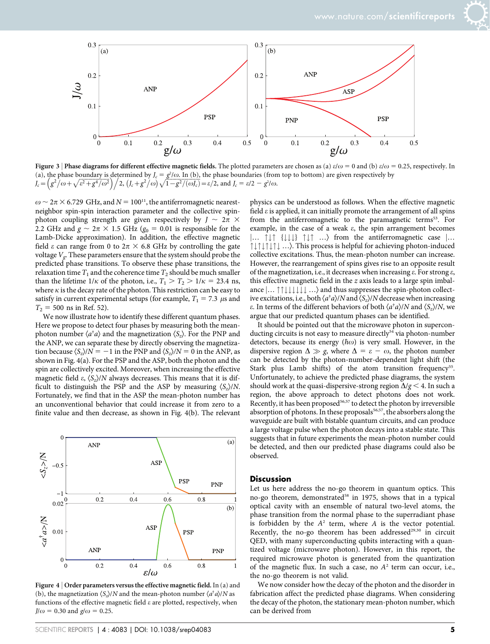



Figure 3 | Phase diagrams for different effective magnetic fields. The plotted parameters are chosen as (a)  $\varepsilon/\omega = 0$  and (b)  $\varepsilon/\omega = 0.25$ , respectively. In (a), the phase boundary is determined by  $J_c = \frac{g^2}{\omega}$ . In (b), the phase boundaries (from top to bottom) are given respectively by (a), the phase boundary is determined by  $J_c = g r \omega$ . In (b), the phase boundaries (from  $J_c = (g^2/\omega + \sqrt{\epsilon^2 + g^4/\omega^2})/2$ ,  $(J_c + g^2/\omega)\sqrt{1 - g^2/(\omega J_c)} = \epsilon/2$ , and  $J_c = \epsilon/2 - g^2/\omega$ .

 $\omega \sim 2\pi \times 6.729 \text{ GHz, and } N = 100^{11}$ , the antiferromagnetic nearestneighbor spin-spin interaction parameter and the collective spinphoton coupling strength are given respectively by  $J \sim 2\pi \times$ 2.2 GHz and  $g \sim 2\pi \times 1.5$  GHz ( $g_0 = 0.01$  is responsible for the Lamb-Dicke approximation). In addition, the effective magnetic field  $\varepsilon$  can range from 0 to  $2\pi \times 6.8$  GHz by controlling the gate voltage  $V_g$ . These parameters ensure that the system should probe the predicted phase transitions. To observe these phase transitions, the relaxation time  $T_1$  and the coherence time  $T_2$  should be much smaller than the lifetime  $1/\kappa$  of the photon, i.e.,  $T_1 > T_2 > 1/\kappa = 23.4$  ns, where  $\kappa$  is the decay rate of the photon. This restriction can be easy to satisfy in current experimental setups (for example,  $T_1 = 7.3 \ \mu s$  and  $T_2$  = 500 ns in Ref. 52).

We now illustrate how to identify these different quantum phases. Here we propose to detect four phases by measuring both the meanphoton number  $\langle a^{\dagger} a \rangle$  and the magnetization  $\langle S_z \rangle$ . For the PNP and the ANP, we can separate these by directly observing the magnetization because  $\langle S_z \rangle/N = -1$  in the PNP and  $\langle S_z \rangle/N = 0$  in the ANP, as shown in Fig. 4(a). For the PSP and the ASP, both the photon and the spin are collectively excited. Moreover, when increasing the effective magnetic field  $\varepsilon$ ,  $\langle S_z \rangle/N$  always decreases. This means that it is difficult to distinguish the PSP and the ASP by measuring  $\langle S_z \rangle/N$ . Fortunately, we find that in the ASP the mean-photon number has an unconventional behavior that could increase it from zero to a finite value and then decrease, as shown in Fig. 4(b). The relevant



Figure 4 | Order parameters versus the effective magnetic field. In (a) and (b), the magnetization  $\langle S_z \rangle/N$  and the mean-photon number  $\langle a^{\dagger} a \rangle/N$  as functions of the effective magnetic field  $\varepsilon$  are plotted, respectively, when  $J/\omega$  = 0.30 and  $g/\omega$  = 0.25.

physics can be understood as follows. When the effective magnetic field  $\varepsilon$  is applied, it can initially promote the arrangement of all spins from the antiferromagnetic to the paramagnetic terms<sup>53</sup>. For example, in the case of a weak  $\varepsilon$ , the spin arrangement becomes  $\left| \dots \right|$   $\uparrow \downarrow \uparrow \left\{ \downarrow \downarrow \right\}$   $\uparrow \downarrow \uparrow \dots$  from the antiferromagnetic case  $\left| \dots \right|$ "#"#"#"# …æ. This process is helpful for achieving photon-induced collective excitations. Thus, the mean-photon number can increase. However, the rearrangement of spins gives rise to an opposite result of the magnetization, i.e., it decreases when increasing  $\varepsilon$ . For strong  $\varepsilon$ , this effective magnetic field in the  $z$  axis leads to a large spin imbalance  $|... \uparrow \uparrow \downarrow \downarrow \downarrow \downarrow \downarrow ...$  and thus suppresses the spin-photon collective excitations, i.e., both  $\langle a^{\dagger} a \rangle/N$  and  $\langle S_z \rangle/N$  decrease when increasing  $\varepsilon$ . In terms of the different behaviors of both  $\langle a^{\dagger} a \rangle/N$  and  $\langle S_z \rangle/N$ , we argue that our predicted quantum phases can be identified.

It should be pointed out that the microwave photon in superconducting circuits is not easy to measure directly<sup>54</sup> via photon-number detectors, because its energy ( $\hbar \omega$ ) is very small. However, in the dispersive region  $\Delta \gg g$ , where  $\Delta = \varepsilon - \omega$ , the photon number can be detected by the photon-number-dependent light shift (the Stark plus Lamb shifts) of the atom transition frequency<sup>55</sup>. Unfortunately, to achieve the predicted phase diagrams, the system should work at the quasi-dispersive-strong region  $\Delta/g \leq 4$ . In such a region, the above approach to detect photons does not work. Recently, it has been proposed<sup>56,57</sup> to detect the photon by irreversible absorption of photons. In these proposals<sup>56,57</sup>, the absorbers along the waveguide are built with bistable quantum circuits, and can produce a large voltage pulse when the photon decays into a stable state. This suggests that in future experiments the mean-photon number could be detected, and then our predicted phase diagrams could also be observed.

#### **Discussion**

Let us here address the no-go theorem in quantum optics. This no-go theorem, demonstrated<sup>58</sup> in 1975, shows that in a typical optical cavity with an ensemble of natural two-level atoms, the phase transition from the normal phase to the superradiant phase is forbidden by the  $A<sup>2</sup>$  term, where  $A$  is the vector potential. Recently, the no-go theorem has been addressed $29,30$  in circuit QED, with many superconducting qubits interacting with a quantized voltage (microwave photon). However, in this report, the required microwave photon is generated from the quantization of the magnetic flux. In such a case, no  $A<sup>2</sup>$  term can occur, i.e., the no-go theorem is not valid.

We now consider how the decay of the photon and the disorder in fabrication affect the predicted phase diagrams. When considering the decay of the photon, the stationary mean-photon number, which can be derived from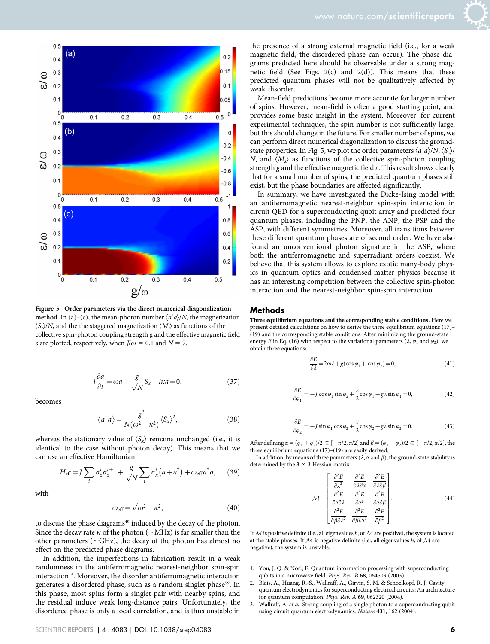

Figure 5 <sup>|</sup> Order parameters via the direct numerical diagonalization **method.** In (a)–(c), the mean-photon number  $\langle a^{\dagger} a \rangle/N$ , the magnetization  $\langle S_z \rangle/N$ , and the the staggered magnetization  $\langle M_s \rangle$  as functions of the collective spin-photon coupling strength g and the effective magnetic field  $\varepsilon$  are plotted, respectively, when  $J/\omega = 0.1$  and  $N = 7$ .

$$
i\frac{\partial a}{\partial t} = \omega a + \frac{g}{\sqrt{N}} S_x - i\kappa a = 0, \qquad (37)
$$

becomes

$$
\langle a^{\dagger} a \rangle = \frac{g^2}{N(\omega^2 + \kappa^2)} \langle S_x \rangle^2, \tag{38}
$$

whereas the stationary value of  $\langle S_x \rangle$  remains unchanged (i.e., it is identical to the case without photon decay). This means that we can use an effective Hamiltonian

$$
H_{\text{eff}} = J \sum_{i} \sigma_z^i \sigma_z^{i+1} + \frac{g}{\sqrt{N}} \sum_{i} \sigma_x^i (a + a^{\dagger}) + \omega_{\text{eff}} a^{\dagger} a, \qquad (39)
$$

with

$$
\omega_{\text{eff}} = \sqrt{\omega^2 + \kappa^2},\tag{40}
$$

to discuss the phase diagrams<sup>49</sup> induced by the decay of the photon. Since the decay rate  $\kappa$  of the photon ( $\sim$ MHz) is far smaller than the other parameters ( $\sim$ GHz), the decay of the photon has almost no effect on the predicted phase diagrams.

In addition, the imperfections in fabrication result in a weak randomness in the antiferromagnetic nearest-neighbor spin-spin interaction<sup>14</sup>. Moreover, the disorder antiferromagnetic interaction generates a disordered phase, such as a random singlet phase<sup>59</sup>. In this phase, most spins form a singlet pair with nearby spins, and the residual induce weak long-distance pairs. Unfortunately, the disordered phase is only a local correlation, and is thus unstable in

the presence of a strong external magnetic field (i.e., for a weak magnetic field, the disordered phase can occur). The phase diagrams predicted here should be observable under a strong magnetic field (See Figs.  $2(c)$  and  $2(d)$ ). This means that these predicted quantum phases will not be qualitatively affected by weak disorder.

Mean-field predictions become more accurate for larger number of spins. However, mean-field is often a good starting point, and provides some basic insight in the system. Moreover, for current experimental techniques, the spin number is not sufficiently large, but this should change in the future. For smaller number of spins, we can perform direct numerical diagonalization to discuss the groundstate properties. In Fig. 5, we plot the order parameters  $\langle a^{\dagger}a \rangle/N, \langle S_z \rangle$ / N, and  $\langle M_s \rangle$  as functions of the collective spin-photon coupling strength g and the effective magnetic field  $\varepsilon$ . This result shows clearly that for a small number of spins, the predicted quantum phases still exist, but the phase boundaries are affected significantly.

In summary, we have investigated the Dicke-Ising model with an antiferromagnetic nearest-neighbor spin-spin interaction in circuit QED for a superconducting qubit array and predicted four quantum phases, including the PNP, the ANP, the PSP and the ASP, with different symmetries. Moreover, all transitions between these different quantum phases are of second order. We have also found an unconventional photon signature in the ASP, where both the antiferromagnetic and superradiant orders coexist. We believe that this system allows to explore exotic many-body physics in quantum optics and condensed-matter physics because it has an interesting competition between the collective spin-photon interaction and the nearest-neighbor spin-spin interaction.

#### Methods

Three equilibrium equations and the corresponding stable conditions. Here we present detailed calculations on how to derive the three equilibrium equations (17)– (19) and the corresponding stable conditions. After minimizing the ground-state energy E in Eq. (16) with respect to the variational parameters ( $\lambda$ ,  $\varphi_1$  and  $\varphi_2$ ), we obtain three equations:

$$
\frac{\partial E}{\partial \lambda} = 2\omega\lambda + g(\cos\varphi_1 + \cos\varphi_2) = 0,\tag{41}
$$

$$
\frac{\partial E}{\partial \varphi_1} = -J \cos \varphi_1 \sin \varphi_2 + \frac{\varepsilon}{2} \cos \varphi_1 - g\lambda \sin \varphi_1 = 0, \tag{42}
$$

$$
\frac{\partial E}{\partial \varphi_2} = -J \sin \varphi_1 \cos \varphi_2 + \frac{\varepsilon}{2} \cos \varphi_2 - g\lambda \sin \varphi_2 = 0.
$$
 (43)

After defining  $\alpha = (\varphi_1 + \varphi_2)/2 \in [-\pi/2, \pi/2]$  and  $\beta = (\varphi_1 - \varphi_2)/2 \in [-\pi/2, \pi/2]$ , the three equilibrium equations (17)–(19) are easily derived.

In addition, by means of three parameters ( $\lambda$ ,  $\alpha$  and  $\beta$ ), the ground-state stability is determined by the  $3 \times 3$  Hessian matrix

$$
\mathcal{M} = \begin{bmatrix} \frac{\partial^2 E}{\partial \lambda^2} & \frac{\partial^2 E}{\partial \lambda \partial \alpha} & \frac{\partial^2 E}{\partial \lambda \partial \beta} \\ \frac{\partial^2 E}{\partial \alpha \partial \lambda} & \frac{\partial^2 E}{\partial \alpha^2} & \frac{\partial^2 E}{\partial \alpha \partial \beta} \\ \frac{\partial^2 E}{\partial \beta \partial \lambda^2} & \frac{\partial^2 E}{\partial \beta \partial \alpha^2} & \frac{\partial^2 E}{\partial \beta^2} \end{bmatrix} .
$$
(44)

If  $M$  is positive definite (i.e., all eigenvalues  $h_i$  of  $M$  are positive), the system is located at the stable phases. If  $M$  is negative definite (i.e., all eigenvalues  $h_i$  of  $M$  are negative), the system is unstable.

- 1. You, J. Q. & Nori, F. Quantum information processing with superconducting qubits in a microwave field. Phys. Rev. B 68, 064509 (2003).
- 2. Blais, A., Huang, R.-S., Wallraff, A., Girvin, S. M. & Schoelkopf, R. J. Cavity quantum electrodynamics for superconducting electrical circuits: An architecture for quantum computation. Phys. Rev. A 69, 062320 (2004).
- 3. Wallraff, A. et al. Strong coupling of a single photon to a superconducting qubit using circuit quantum electrodynamics. Nature 431, 162 (2004).